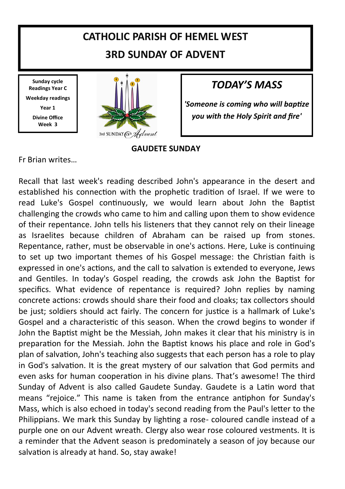# **CATHOLIC PARISH OF HEMEL WEST 3RD SUNDAY OF ADVENT**

**Sunday cycle Readings Year C Weekday readings Year 1 Divine Office Week 3**



## *TODAY'S MASS*

*'Someone is coming who will baptize you with the Holy Spirit and fire'*

#### **GAUDETE SUNDAY**

Fr Brian writes…

Recall that last week's reading described John's appearance in the desert and established his connection with the prophetic tradition of Israel. If we were to read Luke's Gospel continuously, we would learn about John the Baptist challenging the crowds who came to him and calling upon them to show evidence of their repentance. John tells his listeners that they cannot rely on their lineage as Israelites because children of Abraham can be raised up from stones. Repentance, rather, must be observable in one's actions. Here, Luke is continuing to set up two important themes of his Gospel message: the Christian faith is expressed in one's actions, and the call to salvation is extended to everyone, Jews and Gentiles. In today's Gospel reading, the crowds ask John the Baptist for specifics. What evidence of repentance is required? John replies by naming concrete actions: crowds should share their food and cloaks; tax collectors should be just; soldiers should act fairly. The concern for justice is a hallmark of Luke's Gospel and a characteristic of this season. When the crowd begins to wonder if John the Baptist might be the Messiah, John makes it clear that his ministry is in preparation for the Messiah. John the Baptist knows his place and role in God's plan of salvation, John's teaching also suggests that each person has a role to play in God's salvation. It is the great mystery of our salvation that God permits and even asks for human cooperation in his divine plans. That's awesome! The third Sunday of Advent is also called Gaudete Sunday. Gaudete is a Latin word that means "rejoice." This name is taken from the entrance antiphon for Sunday's Mass, which is also echoed in today's second reading from the Paul's letter to the Philippians. We mark this Sunday by lighting a rose- coloured candle instead of a purple one on our Advent wreath. Clergy also wear rose coloured vestments. It is a reminder that the Advent season is predominately a season of joy because our salvation is already at hand. So, stay awake!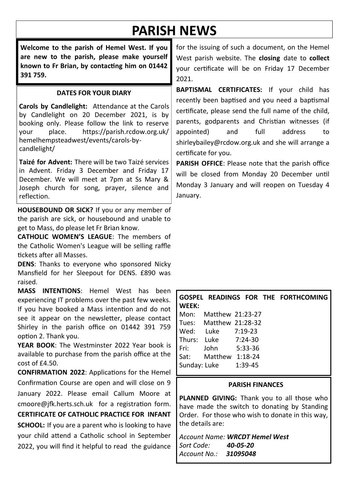# **PARISH NEWS**

**Welcome to the parish of Hemel West. If you are new to the parish, please make yourself known to Fr Brian, by contacting him on 01442 391 759.**

#### **DATES FOR YOUR DIARY**

**Carols by Candlelight:** Attendance at the Carols by Candlelight on 20 December 2021, is by booking only. Please follow the link to reserve your place. https://parish.rcdow.org.uk/ hemelhempsteadwest/events/carols-bycandlelight/

**Taizé for Advent:** There will be two Taizé services in Advent. Friday 3 December and Friday 17 December. We will meet at 7pm at Ss Mary & Joseph church for song, prayer, silence and reflection.

**HOUSEBOUND OR SICK?** If you or any member of the parish are sick, or housebound and unable to get to Mass, do please let Fr Brian know.

**CATHOLIC WOMEN'S LEAGUE**: The members of the Catholic Women's League will be selling raffle tickets after all Masses.

**DENS**: Thanks to everyone who sponsored Nicky Mansfield for her Sleepout for DENS. £890 was raised.

**MASS INTENTIONS**: Hemel West has been experiencing IT problems over the past few weeks. If you have booked a Mass intention and do not see it appear on the newsletter, please contact Shirley in the parish office on 01442 391 759 option 2. Thank you.

**YEAR BOOK**: The Westminster 2022 Year book is available to purchase from the parish office at the  $cost of f4.50.$ 

**CONFIRMATION 2022**: Applications for the Hemel Confirmation Course are open and will close on 9 January 2022. Please email Callum Moore at cmoore@jfk.herts.sch.uk for a registration form. **CERTIFICATE OF CATHOLIC PRACTICE FOR INFANT SCHOOL:** If you are a parent who is looking to have your child attend a Catholic school in September 2022, you will find it helpful to read the guidance

for the issuing of such a document, on the Hemel West parish website. The **closing** date to **collect** your certificate will be on Friday 17 December 2021.

**BAPTISMAL CERTIFICATES:** If your child has recently been baptised and you need a baptismal certificate, please send the full name of the child, parents, godparents and Christian witnesses (if appointed) and full address to shirleybailey@rcdow.org.uk and she will arrange a certificate for you.

**PARISH OFFICE**: Please note that the parish office will be closed from Monday 20 December until Monday 3 January and will reopen on Tuesday 4 January.

| GOSPEL READINGS FOR THE FORTHCOMING<br>WEEK: |                        |         |  |  |  |  |
|----------------------------------------------|------------------------|---------|--|--|--|--|
| Mon:                                         | Matthew 21:23-27       |         |  |  |  |  |
|                                              | Tues: Matthew 21:28-32 |         |  |  |  |  |
| Wed:                                         | Luke 7:19-23           |         |  |  |  |  |
| Thurs:                                       | Luke 7:24-30           |         |  |  |  |  |
| l Fri:                                       | John                   | 5:33-36 |  |  |  |  |
| Sat:                                         | Matthew 1:18-24        |         |  |  |  |  |
| Sunday: Luke<br>1:39-45                      |                        |         |  |  |  |  |

#### **PARISH FINANCES**

**PLANNED GIVING:** Thank you to all those who have made the switch to donating by Standing Order. For those who wish to donate in this way, the details are:

*Account Name: WRCDT Hemel West Sort Code: 40-05-20 Account No.: 31095048*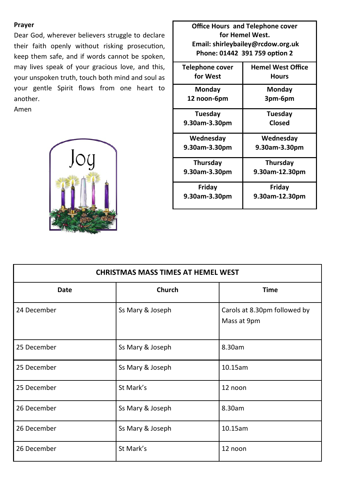#### **Prayer**

Dear God, wherever believers struggle to declare their faith openly without risking prosecution, keep them safe, and if words cannot be spoken, may lives speak of your gracious love, and this, your unspoken truth, touch both mind and soul as your gentle Spirit flows from one heart to another.

Amen



**Office Hours and Telephone cover for Hemel West. Email: shirleybailey@rcdow.org.uk Phone: 01442 391 759 option 2 Telephone cover for West Hemel West Office Hours Monday 12 noon-6pm Monday 3pm-6pm Tuesday 9.30am-3.30pm Tuesday Closed Wednesday 9.30am-3.30pm Wednesday 9.30am-3.30pm Thursday 9.30am-3.30pm Thursday 9.30am-12.30pm Friday 9.30am-3.30pm Friday 9.30am-12.30pm**

| <b>CHRISTMAS MASS TIMES AT HEMEL WEST</b> |                  |                                             |  |  |  |
|-------------------------------------------|------------------|---------------------------------------------|--|--|--|
| Date                                      | Church           | <b>Time</b>                                 |  |  |  |
| 24 December                               | Ss Mary & Joseph | Carols at 8.30pm followed by<br>Mass at 9pm |  |  |  |
| 25 December                               | Ss Mary & Joseph | 8.30am                                      |  |  |  |
| 25 December                               | Ss Mary & Joseph | 10.15am                                     |  |  |  |
| 25 December                               | St Mark's        | 12 noon                                     |  |  |  |
| 26 December                               | Ss Mary & Joseph | 8.30am                                      |  |  |  |
| 26 December                               | Ss Mary & Joseph | 10.15am                                     |  |  |  |
| 26 December                               | St Mark's        | 12 noon                                     |  |  |  |